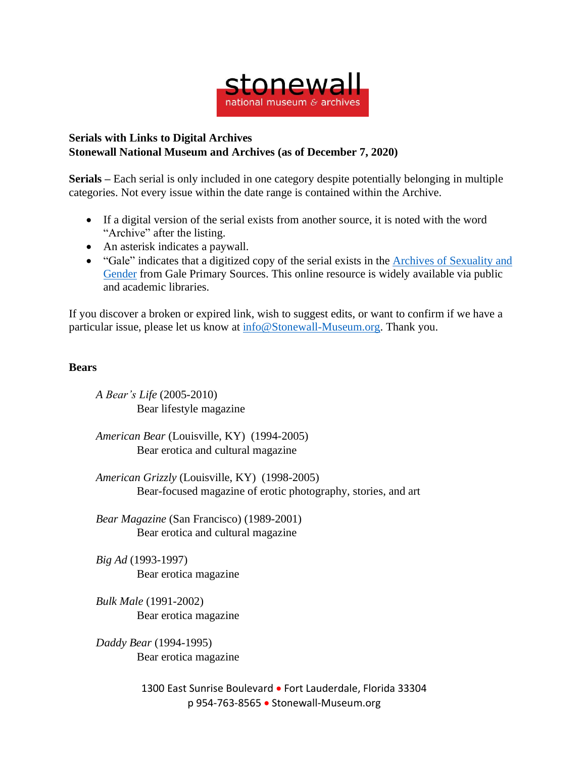

## **Serials with Links to Digital Archives Stonewall National Museum and Archives (as of December 7, 2020)**

**Serials –** Each serial is only included in one category despite potentially belonging in multiple categories. Not every issue within the date range is contained within the Archive.

- If a digital version of the serial exists from another source, it is noted with the word "Archive" after the listing.
- An asterisk indicates a paywall.
- "Gale" indicates that a digitized copy of the serial exists in the Archives of [Sexuality](https://www.gale.com/primary-sources/archives-of-sexuality-and-gender) and [Gender](https://www.gale.com/primary-sources/archives-of-sexuality-and-gender) from Gale Primary Sources. This online resource is widely available via public and academic libraries.

If you discover a broken or expired link, wish to suggest edits, or want to confirm if we have a particular issue, please let us know at [info@Stonewall-Museum.org.](mailto:info@Stonewall-Museum.org) Thank you.

## **Bears**

*A Bear's Life* (2005-2010) Bear lifestyle magazine

*American Bear* (Louisville, KY) (1994-2005) Bear erotica and cultural magazine

*American Grizzly* (Louisville, KY) (1998-2005) Bear-focused magazine of erotic photography, stories, and art

*Bear Magazine* (San Francisco) (1989-2001) Bear erotica and cultural magazine

*Big Ad* (1993-1997) Bear erotica magazine

*Bulk Male* (1991-2002) Bear erotica magazine

*Daddy Bear* (1994-1995) Bear erotica magazine

> 1300 East Sunrise Boulevard • Fort Lauderdale, Florida 33304 p 954-763-8565 • Stonewall-Museum.org